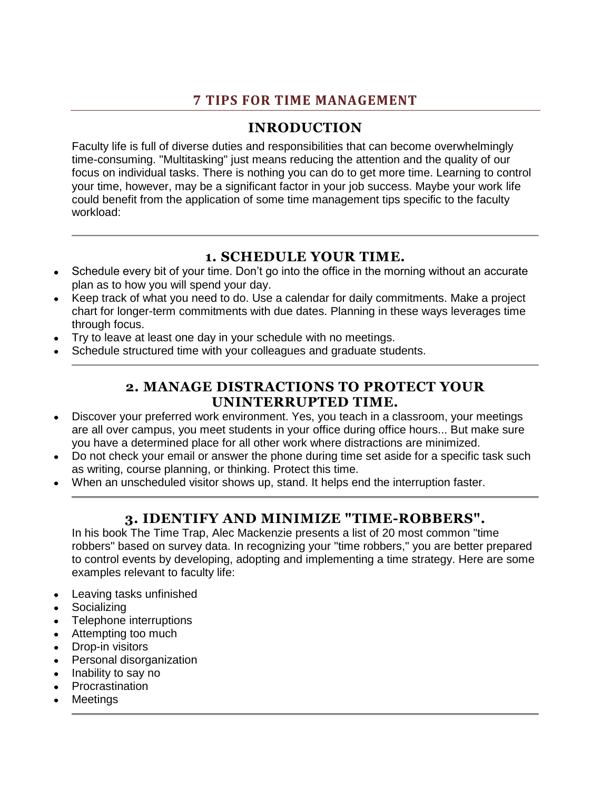# **7 TIPS FOR TIME MANAGEMENT**

# **INRODUCTION**

Faculty life is full of diverse duties and responsibilities that can become overwhelmingly time-consuming. "Multitasking" just means reducing the attention and the quality of our focus on individual tasks. There is nothing you can do to get more time. Learning to control your time, however, may be a significant factor in your job success. Maybe your work life could benefit from the application of some time management tips specific to the faculty workload:

### **1. SCHEDULE YOUR TIME.**

- Schedule every bit of your time. Don't go into the office in the morning without an accurate plan as to how you will spend your day.
- Keep track of what you need to do. Use a calendar for daily commitments. Make a project chart for longer-term commitments with due dates. Planning in these ways leverages time through focus.
- Try to leave at least one day in your schedule with no meetings.
- Schedule structured time with your colleagues and graduate students.

#### **2. MANAGE DISTRACTIONS TO PROTECT YOUR UNINTERRUPTED TIME.**

- Discover your preferred work environment. Yes, you teach in a classroom, your meetings are all over campus, you meet students in your office during office hours... But make sure you have a determined place for all other work where distractions are minimized.
- Do not check your email or answer the phone during time set aside for a specific task such  $\bullet$ as writing, course planning, or thinking. Protect this time.
- When an unscheduled visitor shows up, stand. It helps end the interruption faster.

# **3. IDENTIFY AND MINIMIZE "TIME-ROBBERS".**

In his book The Time Trap, Alec Mackenzie presents a list of 20 most common "time robbers" based on survey data. In recognizing your "time robbers," you are better prepared to control events by developing, adopting and implementing a time strategy. Here are some examples relevant to faculty life:

- Leaving tasks unfinished
- **Socializing**
- Telephone interruptions
- Attempting too much
- Drop-in visitors
- Personal disorganization
- Inability to say no
- Procrastination
- **Meetings**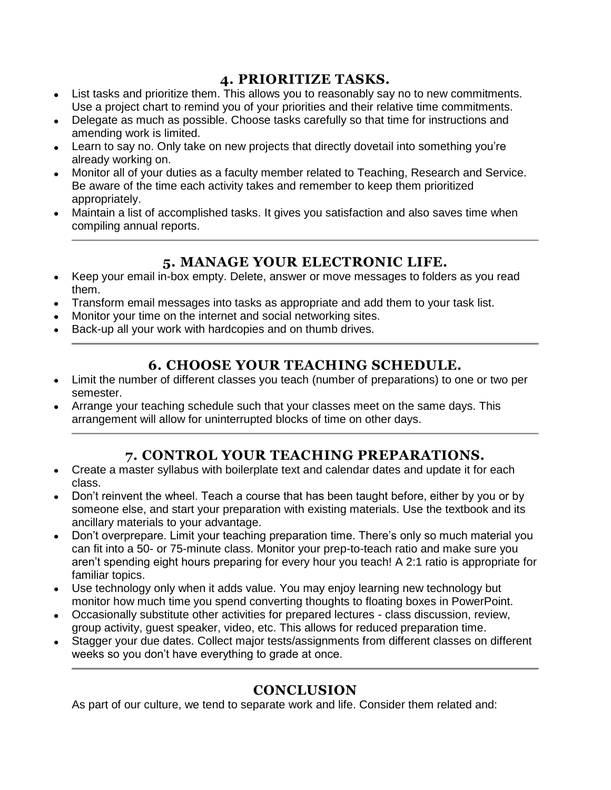#### **4. PRIORITIZE TASKS.**

- List tasks and prioritize them. This allows you to reasonably say no to new commitments. Use a project chart to remind you of your priorities and their relative time commitments.
- Delegate as much as possible. Choose tasks carefully so that time for instructions and amending work is limited.
- Learn to say no. Only take on new projects that directly dovetail into something you're already working on.
- Monitor all of your duties as a faculty member related to Teaching, Research and Service. Be aware of the time each activity takes and remember to keep them prioritized appropriately.
- Maintain a list of accomplished tasks. It gives you satisfaction and also saves time when compiling annual reports.

### **5. MANAGE YOUR ELECTRONIC LIFE.**

- Keep your email in-box empty. Delete, answer or move messages to folders as you read  $\bullet$ them.
- Transform email messages into tasks as appropriate and add them to your task list.
- Monitor your time on the internet and social networking sites.
- Back-up all your work with hardcopies and on thumb drives.

### **6. CHOOSE YOUR TEACHING SCHEDULE.**

- Limit the number of different classes you teach (number of preparations) to one or two per semester.
- Arrange your teaching schedule such that your classes meet on the same days. This arrangement will allow for uninterrupted blocks of time on other days.

# **7. CONTROL YOUR TEACHING PREPARATIONS.**

- Create a master syllabus with boilerplate text and calendar dates and update it for each  $\bullet$ class.
- Don't reinvent the wheel. Teach a course that has been taught before, either by you or by someone else, and start your preparation with existing materials. Use the textbook and its ancillary materials to your advantage.
- Don't overprepare. Limit your teaching preparation time. There's only so much material you can fit into a 50- or 75-minute class. Monitor your prep-to-teach ratio and make sure you aren't spending eight hours preparing for every hour you teach! A 2:1 ratio is appropriate for familiar topics.
- Use technology only when it adds value. You may enjoy learning new technology but monitor how much time you spend converting thoughts to floating boxes in PowerPoint.
- Occasionally substitute other activities for prepared lectures class discussion, review, group activity, guest speaker, video, etc. This allows for reduced preparation time.
- Stagger your due dates. Collect major tests/assignments from different classes on different weeks so you don't have everything to grade at once.

# **CONCLUSION**

As part of our culture, we tend to separate work and life. Consider them related and: